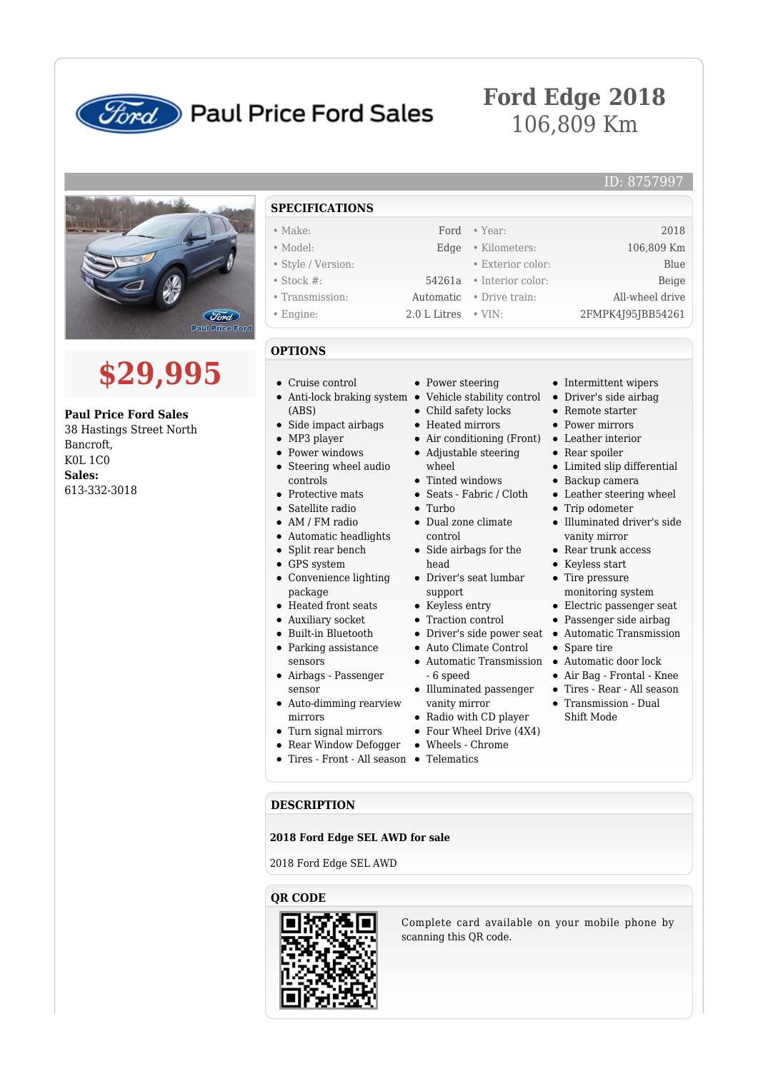

## **Ford** Paul Price Ford Sales

## **Ford Edge 2018** 106,809 Km

ID: 8757997

# (Ford **Paul Price Ford**

# **\$29,995**

**Paul Price Ford Sales**

38 Hastings Street North Bancroft, K0L 1C0 **Sales:** 613-332-3018

- **SPECIFICATIONS** • Make: Ford • Year: 2018 • Model: Edge • Kilometers: 106,809 Km • Style / Version: • Exterior color: Blue
- Stock #: 54261a Interior color: Beige
- 
- 

### **OPTIONS**

- Cruise control
- Anti-lock braking system Vehicle stability control Driver's side airbag
- (ABS)
- Side impact airbags
- MP3 player
- Power windows
- Steering wheel audio controls
- Protective mats
- Satellite radio
- AM / FM radio
- Automatic headlights
- Split rear bench
- GPS system
- Convenience lighting
- package
- Heated front seats
- Auxiliary socket
- Built-in Bluetooth • Parking assistance
- sensors Airbags - Passenger sensor
- Auto-dimming rearview mirrors
- Turn signal mirrors
- 
- 
- Transmission: Automatic Drive train: All-wheel drive • Engine: 2.0 L Litres • VIN: 2FMPK4J95JBB54261
	- Power steering • Intermittent wipers
	-
	- Child safety locks
	- Heated mirrors
	- Air conditioning (Front) Leather interior
	- Adjustable steering wheel
	- Tinted windows
	- Seats Fabric / Cloth
	- Turbo
	- Dual zone climate control
	- Side airbags for the head
	- Driver's seat lumbar support
	- Keyless entry
	-
	- Driver's side power seat Automatic Transmission
	-
	- vanity mirror
	- Radio with CD player
	- Four Wheel Drive (4X4)
	-
	-

#### **DESCRIPTION**

**2018 Ford Edge SEL AWD for sale**

2018 Ford Edge SEL AWD

#### **QR CODE**

Complete card available on your mobile phone by scanning this QR code.

- 
- Rear Window Defogger Wheels Chrome
- Tires Front All season Telematics
- Illuminated driver's side vanity mirror • Rear trunk access
	- Keyless start

 $\bullet~$  Remote starter • Power mirrors

• Rear spoiler

• Trip odometer

Limited slip differential Backup camera Leather steering wheel

- Tire pressure monitoring system
- Electric passenger seat
- Passenger side airbag
- Spare tire
- 
- Air Bag Frontal Knee
- Tires Rear All season
- Transmission Dual Shift Mode
- $\bullet~$  Traction control

- Auto Climate Control
- 6 speed
- Automatic Transmission Automatic door lock
- Illuminated passenger
- 
- 
- 

- -
	-
-